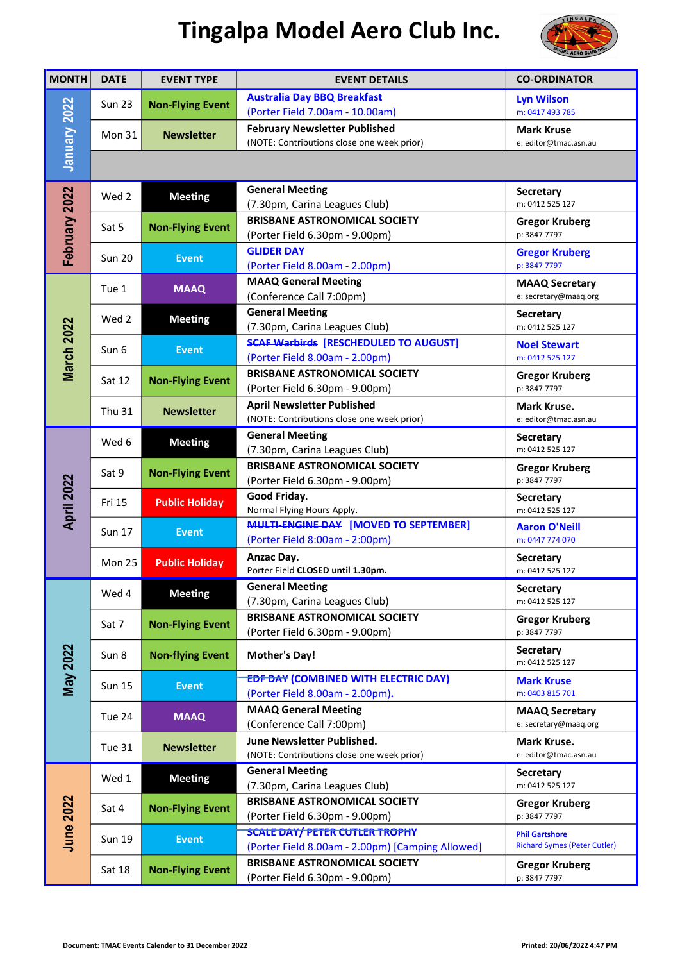## Tingalpa Model Aero Club Inc.



| <b>MONTH</b>      | <b>DATE</b>   | <b>EVENT TYPE</b>       | <b>EVENT DETAILS</b>                                                                      | <b>CO-ORDINATOR</b>                                          |
|-------------------|---------------|-------------------------|-------------------------------------------------------------------------------------------|--------------------------------------------------------------|
| January 2022      | <b>Sun 23</b> | <b>Non-Flying Event</b> | <b>Australia Day BBQ Breakfast</b><br>(Porter Field 7.00am - 10.00am)                     | <b>Lyn Wilson</b><br>m: 0417 493 785                         |
|                   | <b>Mon 31</b> | <b>Newsletter</b>       | <b>February Newsletter Published</b><br>(NOTE: Contributions close one week prior)        | Mark Kruse<br>e: editor@tmac.asn.au                          |
|                   |               |                         |                                                                                           |                                                              |
| February 2022     | Wed 2         | <b>Meeting</b>          | <b>General Meeting</b><br>(7.30pm, Carina Leagues Club)                                   | <b>Secretary</b><br>m: 0412 525 127                          |
|                   | Sat 5         | <b>Non-Flying Event</b> | <b>BRISBANE ASTRONOMICAL SOCIETY</b><br>(Porter Field 6.30pm - 9.00pm)                    | <b>Gregor Kruberg</b><br>p: 3847 7797                        |
|                   | <b>Sun 20</b> | <b>Event</b>            | <b>GLIDER DAY</b><br>(Porter Field 8.00am - 2.00pm)                                       | <b>Gregor Kruberg</b><br>p: 3847 7797                        |
| March 2022        | Tue 1         | <b>MAAQ</b>             | <b>MAAQ General Meeting</b><br>(Conference Call 7:00pm)                                   | <b>MAAQ Secretary</b><br>e: secretary@maaq.org               |
|                   | Wed 2         | <b>Meeting</b>          | <b>General Meeting</b><br>(7.30pm, Carina Leagues Club)                                   | Secretary<br>m: 0412 525 127                                 |
|                   | Sun 6         | <b>Event</b>            | <b>SCAF Warbirds [RESCHEDULED TO AUGUST]</b><br>(Porter Field 8.00am - 2.00pm)            | <b>Noel Stewart</b><br>m: 0412 525 127                       |
|                   | Sat 12        | <b>Non-Flying Event</b> | <b>BRISBANE ASTRONOMICAL SOCIETY</b><br>(Porter Field 6.30pm - 9.00pm)                    | <b>Gregor Kruberg</b><br>p: 3847 7797                        |
|                   | <b>Thu 31</b> | <b>Newsletter</b>       | <b>April Newsletter Published</b><br>(NOTE: Contributions close one week prior)           | Mark Kruse.<br>e: editor@tmac.asn.au                         |
| <b>April 2022</b> | Wed 6         | <b>Meeting</b>          | <b>General Meeting</b><br>(7.30pm, Carina Leagues Club)                                   | Secretary<br>m: 0412 525 127                                 |
|                   | Sat 9         | <b>Non-Flying Event</b> | <b>BRISBANE ASTRONOMICAL SOCIETY</b><br>(Porter Field 6.30pm - 9.00pm)                    | <b>Gregor Kruberg</b><br>p: 3847 7797                        |
|                   | <b>Fri 15</b> | <b>Public Holiday</b>   | Good Friday.<br>Normal Flying Hours Apply.                                                | <b>Secretary</b><br>m: 0412 525 127                          |
|                   | <b>Sun 17</b> | <b>Event</b>            | <b>MULTI-ENGINE DAY [MOVED TO SEPTEMBER]</b><br>(Porter Field 8:00am - 2:00pm)            | <b>Aaron O'Neill</b><br>m: 0447 774 070                      |
|                   | Mon 25        | <b>Public Holiday</b>   | Anzac Day.<br>Porter Field CLOSED until 1.30pm.                                           | <b>Secretary</b><br>m: 0412 525 127                          |
| <b>May 2022</b>   | Wed 4         | <b>Meeting</b>          | <b>General Meeting</b><br>(7.30pm, Carina Leagues Club)                                   | <b>Secretary</b><br>m: 0412 525 127                          |
|                   | Sat 7         | <b>Non-Flying Event</b> | <b>BRISBANE ASTRONOMICAL SOCIETY</b><br>(Porter Field 6.30pm - 9.00pm)                    | <b>Gregor Kruberg</b><br>p: 3847 7797                        |
|                   | Sun 8         | <b>Non-flying Event</b> | <b>Mother's Day!</b>                                                                      | <b>Secretary</b><br>m: 0412 525 127                          |
|                   | <b>Sun 15</b> | <b>Event</b>            | <b>EDF DAY (COMBINED WITH ELECTRIC DAY)</b><br>(Porter Field 8.00am - 2.00pm).            | <b>Mark Kruse</b><br>m: 0403 815 701                         |
|                   | Tue 24        | <b>MAAQ</b>             | <b>MAAQ General Meeting</b><br>(Conference Call 7:00pm)                                   | <b>MAAQ Secretary</b><br>e: secretary@maaq.org               |
|                   | Tue 31        | <b>Newsletter</b>       | June Newsletter Published.<br>(NOTE: Contributions close one week prior)                  | Mark Kruse.<br>e: editor@tmac.asn.au                         |
| June 2022         | Wed 1         | <b>Meeting</b>          | <b>General Meeting</b><br>(7.30pm, Carina Leagues Club)                                   | Secretary<br>m: 0412 525 127                                 |
|                   | Sat 4         | <b>Non-Flying Event</b> | <b>BRISBANE ASTRONOMICAL SOCIETY</b><br>(Porter Field 6.30pm - 9.00pm)                    | <b>Gregor Kruberg</b><br>p: 3847 7797                        |
|                   | <b>Sun 19</b> | <b>Event</b>            | <b>SCALE DAY/ PETER CUTLER TROPHY</b><br>(Porter Field 8.00am - 2.00pm) [Camping Allowed] | <b>Phil Gartshore</b><br><b>Richard Symes (Peter Cutler)</b> |
|                   | Sat 18        | <b>Non-Flying Event</b> | <b>BRISBANE ASTRONOMICAL SOCIETY</b><br>(Porter Field 6.30pm - 9.00pm)                    | <b>Gregor Kruberg</b><br>p: 3847 7797                        |